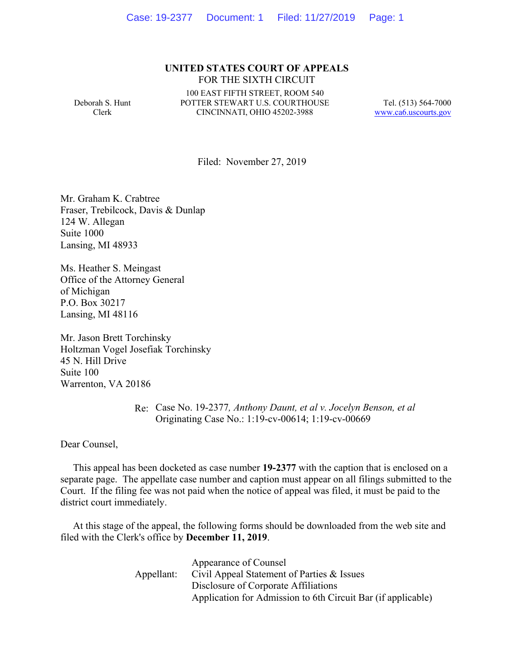## **UNITED STATES COURT OF APPEALS** FOR THE SIXTH CIRCUIT

Deborah S. Hunt Clerk

100 EAST FIFTH STREET, ROOM 540 POTTER STEWART U.S. COURTHOUSE CINCINNATI, OHIO 45202-3988

Tel. (513) 564-7000 www.ca6.uscourts.gov

Filed: November 27, 2019

Mr. Graham K. Crabtree Fraser, Trebilcock, Davis & Dunlap 124 W. Allegan Suite 1000 Lansing, MI 48933

Ms. Heather S. Meingast Office of the Attorney General of Michigan P.O. Box 30217 Lansing, MI 48116

Mr. Jason Brett Torchinsky Holtzman Vogel Josefiak Torchinsky 45 N. Hill Drive Suite 100 Warrenton, VA 20186

> Re: Case No. 19-2377*, Anthony Daunt, et al v. Jocelyn Benson, et al* Originating Case No.: 1:19-cv-00614; 1:19-cv-00669

Dear Counsel,

 This appeal has been docketed as case number **19-2377** with the caption that is enclosed on a separate page. The appellate case number and caption must appear on all filings submitted to the Court. If the filing fee was not paid when the notice of appeal was filed, it must be paid to the district court immediately.

 At this stage of the appeal, the following forms should be downloaded from the web site and filed with the Clerk's office by **December 11, 2019**.

|            | Appearance of Counsel                                        |
|------------|--------------------------------------------------------------|
| Appellant: | Civil Appeal Statement of Parties & Issues                   |
|            | Disclosure of Corporate Affiliations                         |
|            | Application for Admission to 6th Circuit Bar (if applicable) |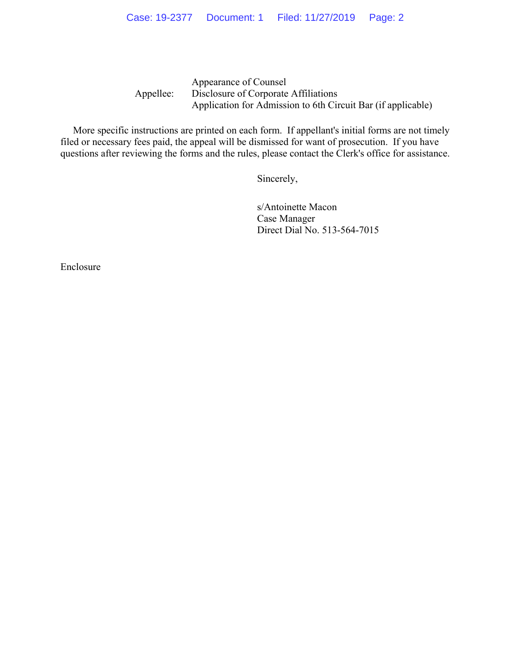Appellee: Appearance of Counsel Disclosure of Corporate Affiliations Application for Admission to 6th Circuit Bar (if applicable)

 More specific instructions are printed on each form. If appellant's initial forms are not timely filed or necessary fees paid, the appeal will be dismissed for want of prosecution. If you have questions after reviewing the forms and the rules, please contact the Clerk's office for assistance.

Sincerely,

s/Antoinette Macon Case Manager Direct Dial No. 513-564-7015

Enclosure